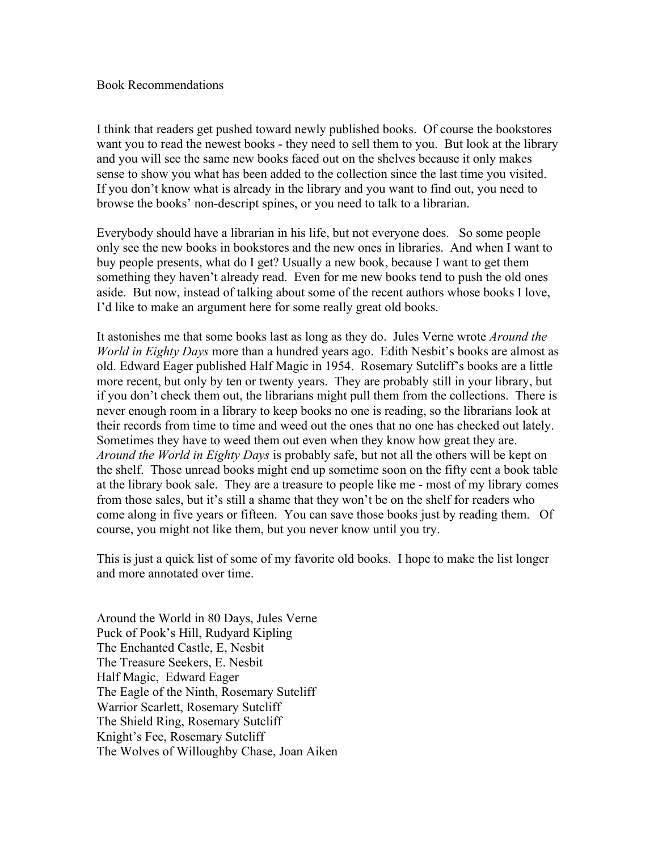## Book Recommendations

I think that readers get pushed toward newly published books. Of course the bookstores want you to read the newest books - they need to sell them to you. But look at the library and you will see the same new books faced out on the shelves because it only makes sense to show you what has been added to the collection since the last time you visited. If you don't know what is already in the library and you want to find out, you need to browse the books' non-descript spines, or you need to talk to a librarian.

Everybody should have a librarian in his life, but not everyone does. So some people only see the new books in bookstores and the new ones in libraries. And when I want to buy people presents, what do I get? Usually a new book, because I want to get them something they haven't already read. Even for me new books tend to push the old ones aside. But now, instead of talking about some of the recent authors whose books I love, I'd like to make an argument here for some really great old books.

It astonishes me that some books last as long as they do. Jules Verne wrote *Around the World in Eighty Days* more than a hundred years ago. Edith Nesbit's books are almost as old. Edward Eager published Half Magic in 1954. Rosemary Sutcliff's books are a little more recent, but only by ten or twenty years. They are probably still in your library, but if you don't check them out, the librarians might pull them from the collections. There is never enough room in a library to keep books no one is reading, so the librarians look at their records from time to time and weed out the ones that no one has checked out lately. Sometimes they have to weed them out even when they know how great they are. *Around the World in Eighty Days* is probably safe, but not all the others will be kept on the shelf. Those unread books might end up sometime soon on the fifty cent a book table at the library book sale. They are a treasure to people like me - most of my library comes from those sales, but it's still a shame that they won't be on the shelf for readers who come along in five years or fifteen. You can save those books just by reading them. Of course, you might not like them, but you never know until you try.

This is just a quick list of some of my favorite old books. I hope to make the list longer and more annotated over time.

Around the World in 80 Days, Jules Verne Puck of Pook's Hill, Rudyard Kipling The Enchanted Castle, E, Nesbit The Treasure Seekers, E. Nesbit Half Magic, Edward Eager The Eagle of the Ninth, Rosemary Sutcliff Warrior Scarlett, Rosemary Sutcliff The Shield Ring, Rosemary Sutcliff Knight's Fee, Rosemary Sutcliff The Wolves of Willoughby Chase, Joan Aiken